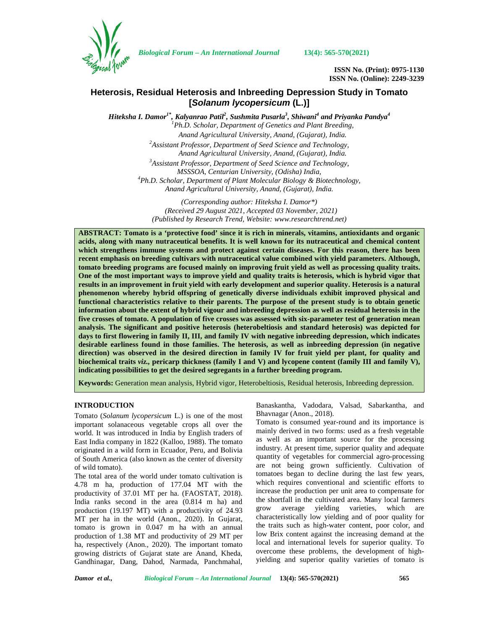

*Biological Forum – An International Journal* **13(4): 565-570(2021)**

**ISSN No. (Print): 0975-1130 ISSN No. (Online): 2249-3239**

# **Heterosis, Residual Heterosis and Inbreeding Depression Study in Tomato [***Solanum lycopersicum* **(L.)]**

*Hiteksha I. Damor1\* , Kalyanrao Patil<sup>2</sup> , Sushmita Pusarla<sup>3</sup> , Shiwani<sup>4</sup> and Priyanka Pandya<sup>4</sup> <sup>1</sup>Ph.D. Scholar, Department of Genetics and Plant Breeding, Anand Agricultural University, Anand, (Gujarat), India. <sup>2</sup>Assistant Professor, Department of Seed Science and Technology, Anand Agricultural University, Anand, (Gujarat), India. <sup>3</sup>Assistant Professor, Department of Seed Science and Technology, MSSSOA, Centurian University, (Odisha) India, <sup>4</sup>Ph.D. Scholar, Department of Plant Molecular Biology & Biotechnology, Anand Agricultural University, Anand, (Gujarat), India.*

> *(Corresponding author: Hiteksha I. Damor\*) (Received 29 August 2021, Accepted 03 November, 2021) (Published by Research Trend, Website: [www.researchtrend.net\)](www.researchtrend.net)*

**ABSTRACT: Tomato is a 'protective food' since it is rich in minerals, vitamins, antioxidants and organic acids, along with many nutraceutical benefits. It is well known for its nutraceutical and chemical content which strengthens immune systems and protect against certain diseases. For this reason, there has been recent emphasis on breeding cultivars with nutraceutical value combined with yield parameters. Although, tomato breeding programs are focused mainly on improving fruit yield as well as processing quality traits. One of the most important ways to improve yield and quality traits is heterosis, which is hybrid vigor that results in an improvement in fruit yield with early development and superior quality. Heterosis is a natural phenomenon whereby hybrid offspring of genetically diverse individuals exhibit improved physical and functional characteristics relative to their parents. The purpose of the present study is to obtain genetic information about the extent of hybrid vigour and inbreeding depression as well as residual heterosis in the five crosses of tomato. A population of five crosses was assessed with six-parameter test of generation mean analysis. The significant and positive heterosis (heterobeltiosis and standard heterosis) was depicted for days to first flowering in family II, III, and family IV with negative inbreeding depression, which indicates desirable earliness found in those families. The heterosis, as well as inbreeding depression (in negative direction) was observed in the desired direction in family IV for fruit yield per plant, for quality and biochemical traits** *viz.,* **pericarp thickness (family I and V) and lycopene content (family III and family V), indicating possibilities to get the desired segregants in a further breeding program.**

**Keywords:** Generation mean analysis, Hybrid vigor, Heterobeltiosis, Residual heterosis, Inbreeding depression.

### **INTRODUCTION**

Tomato (*Solanum lycopersicum* L.) is one of the most important solanaceous vegetable crops all over the world. It was introduced in India by English traders of East India company in 1822 (Kalloo, 1988). The tomato originated in a wild form in Ecuador, Peru, and Bolivia of South America (also known as the center of diversity of wild tomato).

The total area of the world under tomato cultivation is 4.78 m ha, production of 177.04 MT with the productivity of 37.01 MT per ha. (FAOSTAT, 2018). India ranks second in the area  $(0.814 \text{ m} \text{ ha})$  and the short-<br>production (19.197 MT) with a productivity of 24.93 grow production (19.197 MT) with a productivity of 24.93 MT per ha in the world (Anon., 2020). In Gujarat, tomato is grown in 0.047 m ha with an annual production of 1.38 MT and productivity of 29 MT per ha, respectively (Anon., 2020). The important tomato growing districts of Gujarat state are Anand, Kheda, Gandhinagar, Dang, Dahod, Narmada, Panchmahal,

Banaskantha, Vadodara, Valsad, Sabarkantha, and Bhavnagar (Anon., 2018).

Tomato is consumed year-round and its importance is mainly derived in two forms: used as a fresh vegetable as well as an important source for the processing industry. At present time, superior quality and adequate quantity of vegetables for commercial agro-processing are not being grown sufficiently. Cultivation of tomatoes began to decline during the last few years, which requires conventional and scientific efforts to increase the production per unit area to compensate for the shortfall in the cultivated area. Many local farmers average yielding varieties, which are characteristically low yielding and of poor quality for the traits such as high-water content, poor color, and low Brix content against the increasing demand at the local and international levels for superior quality. To overcome these problems, the development of high yielding and superior quality varieties of tomato is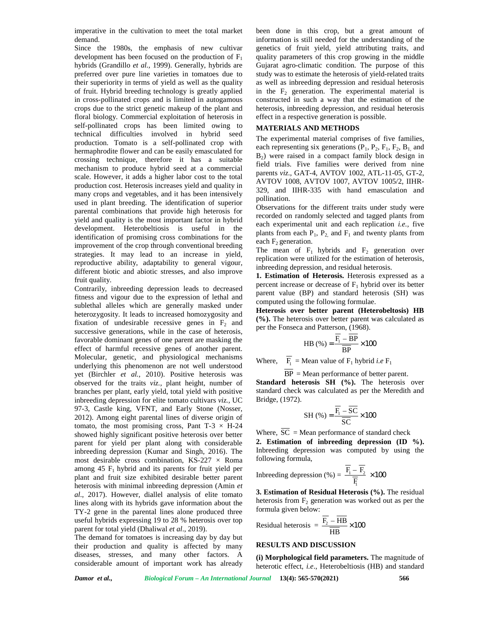imperative in the cultivation to meet the total market demand.

Since the 1980s, the emphasis of new cultivar development has been focused on the production of  $F_1$ hybrids (Grandillo *et al.,* 1999). Generally, hybrids are preferred over pure line varieties in tomatoes due to their superiority in terms of yield as well as the quality of fruit. Hybrid breeding technology is greatly applied in cross-pollinated crops and is limited in autogamous crops due to the strict genetic makeup of the plant and floral biology. Commercial exploitation of heterosis in self-pollinated crops has been limited owing to technical difficulties involved in hybrid seed production. Tomato is a self-pollinated crop with hermaphrodite flower and can be easily emasculated for crossing technique, therefore it has a suitable mechanism to produce hybrid seed at a commercial scale. However, it adds a higher labor cost to the total production cost. Heterosis increases yield and quality in many crops and vegetables, and it has been intensively used in plant breeding. The identification of superior parental combinations that provide high heterosis for yield and quality is the most important factor in hybrid development. Heterobeltiosis is useful in the identification of promising cross combinations for the improvement of the crop through conventional breeding strategies. It may lead to an increase in yield, reproductive ability, adaptability to general vigour, different biotic and abiotic stresses, and also improve fruit quality.

Contrarily, inbreeding depression leads to decreased fitness and vigour due to the expression of lethal and sublethal alleles which are generally masked under heterozygosity. It leads to increased homozygosity and fixation of undesirable recessive genes in  $F<sub>2</sub>$  and successive generations, while in the case of heterosis, favorable dominant genes of one parent are masking the effect of harmful recessive genes of another parent. Molecular, genetic, and physiological mechanisms underlying this phenomenon are not well understood yet (Birchler *et al.,* 2010). Positive heterosis was observed for the traits *viz.,* plant height, number of branches per plant, early yield, total yield with positive inbreeding depression for elite tomato cultivars *viz.,* UC 97-3, Castle king, VFNT, and Early Stone (Nosser, 2012). Among eight parental lines of diverse origin of tomato, the most promising cross, Pant T-3  $\times$  H-24 showed highly significant positive heterosis over better parent for yield per plant along with considerable inbreeding depression (Kumar and Singh, 2016). The most desirable cross combination, KS-227  $\times$  Roma among  $45 \text{ F}_1$  hybrid and its parents for fruit yield per plant and fruit size exhibited desirable hatter percent. plant and fruit size exhibited desirable better parent heterosis with minimal inbreeding depression (Amin *et al*., 2017). However, diallel analysis of elite tomato lines along with its hybrids gave information about the TY-2 gene in the parental lines alone produced three useful hybrids expressing 19 to 28 % heterosis over top  $R6$ parent for total yield (Dhaliwal *et al*., 2019).

The demand for tomatoes is increasing day by day but their production and quality is affected by many diseases, stresses, and many other factors. A considerable amount of important work has already

been done in this crop, but a great amount of information is still needed for the understanding of the genetics of fruit yield, yield attributing traits, and quality parameters of this crop growing in the middle Gujarat agro-climatic condition. The purpose of this study was to estimate the heterosis of yield-related traits as well as inbreeding depression and residual heterosis in the  $F_2$  generation. The experimental material is constructed in such a way that the estimation of the heterosis, inbreeding depression, and residual heterosis effect in a respective generation is possible.

### **MATERIALS AND METHODS**

The experimental material comprises of five families, each representing six generations  $(P_1, P_2, F_1, F_2, B_1, A_1)$  $B_2$ ) were raised in a compact family block design in field trials. Five families were derived from nine parents *viz*., GAT-4, AVTOV 1002, ATL-11-05, GT-2, AVTOV 1008, AVTOV 1007, AVTOV 1005/2, IIHR- 329, and IIHR-335 with hand emasculation and pollination. g six generators ( $V_1, V_2, F_1, F_2, B_1$ , and<br>  $\Gamma$  in a compact family block design in<br>
we families were derived from nine<br>
we families were derived from nine<br>
we families were derived from nine<br>
we families were derived in the sevent for  $\frac{1}{2}$ ,  $\frac{1}{2}$ ,  $\frac{1}{2}$ ,  $\frac{1}{2}$ ,  $\frac{1}{2}$  and  $\frac{1}{2}$  and  $\frac{1}{2}$  and  $\frac{1}{2}$  and  $\frac{1}{2}$  and  $\frac{1}{2}$  and  $\frac{1}{2}$  and  $\frac{1}{2}$  and  $\frac{1}{2}$  and  $\frac{1}{2}$  and  $\frac{1}{2}$  and  $\frac{1$ 

Observations for the different traits under study were recorded on randomly selected and tagged plants from each experimental unit and each replication *i.e.*, five plants from each  $P_1$ ,  $P_2$  and  $F_1$  and twenty plants from each  $F_2$  generation.

The mean of  $F_1$  hybrids and  $F_2$  generation over replication were utilized for the estimation of heterosis, inbreeding depression, and residual heterosis.

**1. Estimation of Heterosis.** Heterosis expressed as a percent increase or decrease of  $F_1$  hybrid over its better parent value (BP) and standard heterosis (SH) was computed using the following formulae. tal unit and each replication *i.e.*, five<br>  $h P_1$ ,  $P_2$ , and  $F_1$  and twenty plants from<br>  $h P_1$ ,  $P_2$ , and  $F_1$  and twenty plants from<br>  $F_1$  hybrids and  $F_2$  generation over<br>  $u \text{ utilized for the estimation of heterosis, }$ <br>  $S.$  Figrossis. Hete and each replication *i.e.*, five<br>and F<sub>1</sub> and twenty plants from<br>rids and F<sub>2</sub> generation over<br>for the estimation of heterosis,<br>**norisis.** Heterosis expressed as a<br>**norisis**. Heterosis expressed as a<br>standard heterosis ( Frequency is better<br>
in the photon over its better<br>
dard heterosis (SH) was<br>
formulae.<br> **11 (Heterobeltosis) HB**<br>
frequency parameters (SH) was<br>
formulae.<br>  $\frac{1968}{\text{BP}} \times 100$ <br>
F<sub>1</sub> hybrid *i.e* F<sub>1</sub><br>  $\frac{1}{\text{BP}} \times 100$ 

**Heterosis over better parent (Heterobeltosis) HB (%).** The heterosis over better parent was calculated as per the Fonseca and Patterson, (1968).

$$
HB(%) = \frac{\overline{F_1} - \overline{BP}}{\overline{BP}} \times 100
$$

Where,  $F_1$  = Mean value of  $F_1$  hybrid *i.e*  $F_1$ 

BP = Mean performance of better parent.

**Standard heterosis SH (%).** The heterosis over standard check was calculated as per the Meredith and Bridge, (1972).

$$
SH\left(\% \right) = \frac{\overline{F_1} - \overline{SC}}{\overline{SC}} \times 100
$$

Where,  $\overline{SC}$  = Mean performance of standard check

**2. Estimation of inbreeding depression (ID %).** Inbreeding depression was computed by using the following formula, Where,  $F_1$  = Mean value of  $F_1$  hybrid *i.e*  $F_1$ <br>  $\overline{BP}$  = Mean performance of better parent.<br> **Standard heterosis SH** (%). The heterosis over<br>
standard check was calculated as per the Meredith and<br>
Bridge, (1972). Fer the Fonsect anti-Faction (1750).<br>
HB (%) =  $\frac{\overline{F_1} - \overline{BP}}{IP} \times 100$ <br>
Where,  $\frac{\overline{F_1}}{BP} = \text{Mean}$  performance of better parent.<br> **Standard heterosis SH (%).** The heterosis over<br>
standard heterosis SH (%). The hete

$$
\text{eeding depression } (\%) = \frac{\overline{\text{F}}_1 - \overline{\text{F}}_2}{\overline{\text{F}}_1} \times 100
$$

**3. Estimation of Residual Heterosis (%).** The residual heterosis from  $F_2$  generation was worked out as per the formula given below:

$$
\text{residual heterosis} = \frac{\overline{\text{F}_2} - \overline{\text{HB}}}{\overline{\text{HB}}} \times 100
$$

## **RESULTS AND DISCUSSION**

**(i) Morphological field parameters.** The magnitude of heterotic effect, *i.e*., Heterobeltiosis (HB) and standard

*Damor et al., Biological Forum – An International Journal* **13(4): 565-570(2021) 566**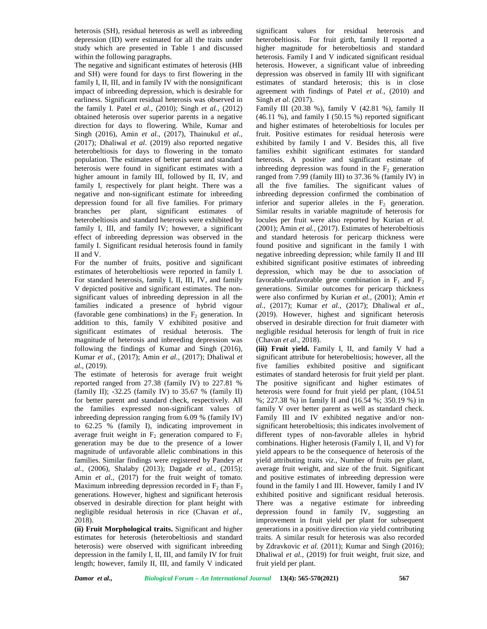heterosis (SH), residual heterosis as well as inbreeding depression (ID) were estimated for all the traits under study which are presented in Table 1 and discussed within the following paragraphs.

The negative and significant estimates of heterosis (HB and SH) were found for days to first flowering in the family I, II, III, and in family IV with the nonsignificant impact of inbreeding depression, which is desirable for earliness. Significant residual heterosis was observed in the family I. Patel *et al.,* (2010); Singh *et al.,* (2012) obtained heterosis over superior parents in a negative direction for days to flowering. While, Kumar and Singh (2016), Amin *et al.,* (2017), Thainukul *et al.*, (2017); Dhaliwal *et al*. (2019) also reported negative heterobeltiosis for days to flowering in the tomato population. The estimates of better parent and standard heterosis were found in significant estimates with a higher amount in family III, followed by II, IV, and family I, respectively for plant height. There was a negative and non-significant estimate for inbreeding depression found for all five families. For primary branches per plant, significant estimates of heterobeltiosis and standard heterosis were exhibited by family I, III, and family IV; however, a significant effect of inbreeding depression was observed in the family I. Significant residual heterosis found in family II and V.

For the number of fruits, positive and significant estimates of heterobeltiosis were reported in family I. For standard heterosis, family I, II, III, IV, and family V depicted positive and significant estimates. The non significant values of inbreeding depression in all the families indicated a presence of hybrid vigour (favorable gene combinations) in the  $F<sub>2</sub>$  generation. In addition to this, family V exhibited positive and significant estimates of residual heterosis. The magnitude of heterosis and inbreeding depression was following the findings of Kumar and Singh (2016), Kumar *et al.,* (2017); Amin *et al.,* (2017); Dhaliwal *et al*., (2019).

The estimate of heterosis for average fruit weight reported ranged from 27.38 (family IV) to 227.81 % (family II); -32.25 (family IV) to 35.67 % (family II) for better parent and standard check, respectively. All the families expressed non-significant values of inbreeding depression ranging from 6.09 % (family IV) to 62.25 % (family I), indicating improvement in average fruit weight in  $F_2$  generation compared to  $F_1$ generation may be due to the presence of a lower magnitude of unfavorable allelic combinations in this families. Similar findings were registered by Pandey *et al.,* (2006), Shalaby (2013); Dagade *et al.,* (2015); Amin *et al.,* (2017) for the fruit weight of tomato. Maximum inbreeding depression recorded in  $F_2$  than  $F_3$ generations. However, highest and significant heterosis observed in desirable direction for plant height with negligible residual heterosis in rice (Chavan *et al*., 2018).

**(ii) Fruit Morphological traits.** Significant and higher estimates for heterosis (heterobeltiosis and standard heterosis) were observed with significant inbreeding depression in the family I, II, III, and family IV for fruit length; however, family II, III, and family V indicated

significant values for residual heterosis and heterobeltiosis. For fruit girth, family II reported a higher magnitude for heterobeltiosis and standard heterosis. Family I and V indicated significant residual heterosis. However, a significant value of inbreeding depression was observed in family III with significant estimates of standard heterosis; this is in close agreement with findings of Patel *et al.,* (2010) and Singh *et al*. (2017).

Family III (20.38 %), family V (42.81 %), family II  $(46.11 \%)$ , and family I  $(50.15 \%)$  reported significant and higher estimates of heterobeltiosis for locules per fruit. Positive estimates for residual heterosis were exhibited by family I and V. Besides this, all five families exhibit significant estimates for standard heterosis. A positive and significant estimate of inbreeding depression was found in the  $F<sub>2</sub>$  generation ranged from 7.99 (family III) to 37.36 % (family IV) in all the five families. The significant values of inbreeding depression confirmed the combination of inferior and superior alleles in the  $F_2$  generation. Similar results in variable magnitude of heterosis for locules per fruit were also reported by Kurian *et al.* (2001); Amin *et al.,* (2017). Estimates of heterobeltiosis and standard heterosis for pericarp thickness were found positive and significant in the family I with negative inbreeding depression; while family II and III exhibited significant positive estimates of inbreeding depression, which may be due to association of favorable-unfavorable gene combination in  $F_1$  and  $F_2$ generations. Similar outcomes for pericarp thickness were also confirmed by Kurian *et al.,* (2001); Amin *et al.,* (2017); Kumar *et al.,* (2017); Dhaliwal *et al*., (2019). However, highest and significant heterosis observed in desirable direction for fruit diameter with negligible residual heterosis for length of fruit in rice (Chavan *et al*., 2018).

**(iii) Fruit yield.** Family I, II, and family V had a significant attribute for heterobeltiosis; however, all the five families exhibited positive and significant estimates of standard heterosis for fruit yield per plant. The positive significant and higher estimates of heterosis were found for fruit yield per plant, (104.51 %; 227.38 %) in family II and (16.54 %; 350.19 %) in family V over better parent as well as standard check. Family III and IV exhibited negative and/or non significant heterobeltiosis; this indicates involvement of different types of non-favorable alleles in hybrid combinations. Higher heterosis (Family I, II, and V) for yield appears to be the consequence of heterosis of the yield attributing traits *viz*., Number of fruits per plant, average fruit weight, and size of the fruit. Significant and positive estimates of inbreeding depression were found in the family I and III. However, family I and IV exhibited positive and significant residual heterosis. There was a negative estimate for inbreeding depression found in family IV, suggesting an improvement in fruit yield per plant for subsequent generations in a positive direction *via* yield contributing traits. A similar result for heterosis was also recorded by Zdravkovic *et al.* (2011); Kumar and Singh (2016); Dhaliwal *et al.,* (2019) for fruit weight, fruit size, and fruit yield per plant.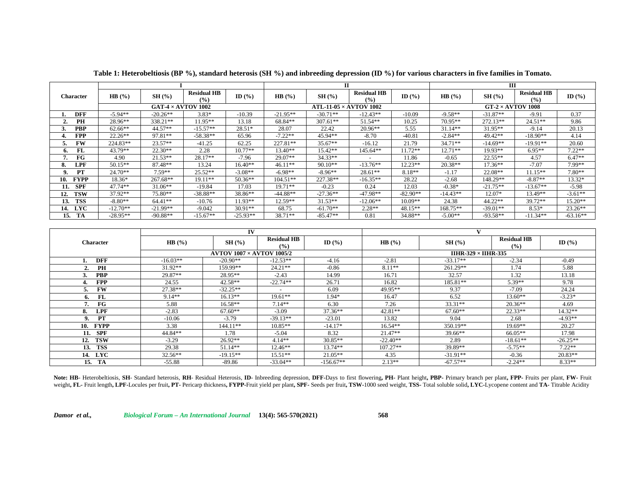|                    |                           |            |                              |            | п                            |            |                          |            | ш                        |            |                             |            |
|--------------------|---------------------------|------------|------------------------------|------------|------------------------------|------------|--------------------------|------------|--------------------------|------------|-----------------------------|------------|
| Character          | HB(%)                     | SH(%)      | <b>Residual HB</b><br>$($ %) | ID $(%$    | HB(%)                        | SH(%)      | <b>Residual HB</b><br>(% | ID $(% )$  | HB(%)                    | SH(%)      | <b>Residual HB</b><br>(9/0) | ID $(%$    |
|                    | GAT-4 $\times$ AVTOV 1002 |            |                              |            | $ATL-11-05\times AVTOV$ 1002 |            |                          |            | $GT-2 \times AVTOV$ 1008 |            |                             |            |
| <b>DFF</b>         | $-5.94**$                 | $-20.26**$ | $3.83*$                      | $-10.39$   | $-21.95**$                   | $-30.71**$ | $-12.43**$               | $-10.09$   | $-9.58**$                | $-31.87**$ | $-9.91$                     | 0.37       |
| PH                 | 28.96**                   | 338.21**   | 11.95**                      | 13.18      | 68.84**                      | $307.61**$ | $51.54**$                | 10.25      | 70.95**                  | 272.13**   | $24.51**$                   | 9.86       |
| <b>PBP</b>         | $62.66**$                 | 44.57**    | $-15.57**$                   | 28.51*     | 28.07                        | 22.42      | $20.96**$                | 5.55       | $31.14**$                | $31.95**$  | $-9.14$                     | 20.13      |
| <b>FPP</b>         | $22.26**$                 | 97.81**    | $-58.38**$                   | 65.96      | $-7.22**$                    | 45.94**    | $-8.70$                  | $-40.81$   | $-2.84**$                | 49.42**    | $-18.90**$                  | 4.14       |
| FW                 | 224.83**                  | $23.57**$  | $-41.25$                     | 62.25      | 227.81**                     | $35.67**$  | $-16.12$                 | 21.79      | $34.71**$                | $-14.69**$ | $-19.91**$                  | 20.60      |
| FL.<br>6.          | 43.79**                   | $22.30**$  | 2.28                         | $10.77**$  | $13.40**$                    | 15.42**    | 145.64**                 | 11.72**    | $12.71**$                | 19.93**    | $6.95**$                    | $7.22**$   |
| $_{\rm FG}$        | 4.90                      | $21.53**$  | 28.17**                      | $-7.96$    | 29.07**                      | $34.33**$  |                          | 11.86      | $-0.65$                  | $22.55**$  | 4.57                        | $6.47**$   |
| <b>LPF</b><br>8.   | $50.15**$                 | 87.48**    | 13.24                        | $16.40**$  | $46.11**$                    | $90.10**$  | $-13.76**$               | $12.23**$  | $20.38**$                | $17.36**$  | $-7.07$                     | 7.99**     |
| PT<br>9.           | $24.70**$                 | $7.59**$   | $25.52**$                    | $-3.08**$  | $-6.98**$                    | $-8.96**$  | $28.61**$                | $8.18**$   | $-1.17$                  | $22.08**$  | $11.15**$                   | $7.80**$   |
| <b>FYPP</b><br>10. | 18.36*                    | 267.68**   | 19.11**                      | $50.36**$  | $104.51**$                   | 227.38**   | $-16.35**$               | 28.22      | $-2.68$                  | 148.29**   | $-8.87**$                   | 13.32*     |
| SPF<br>11.         | 47.74**                   | $31.06**$  | $-19.84$                     | 17.03      | $9.71**$                     | $-0.23$    | 0.24                     | 12.03      | $-0.38*$                 | $-21.75**$ | $-13.67**$                  | $-5.98$    |
| <b>TSW</b><br>12.  | 37.92**                   | 75.80**    | $-38.88**$                   | 38.86**    | $-44.88**$                   | $-27.36**$ | $-47.98**$               | $-82.90**$ | $-14.43**$               | 12.07*     | 13.49**                     | $-3.61**$  |
| <b>TSS</b><br>13.  | $-8.80**$                 | 64.41**    | $-10.76$                     | 11.93**    | 12.59**                      | $31.53**$  | $-12.06**$               | $10.09**$  | 24.38                    | 44.22**    | 39.72**                     | $15.20**$  |
| 14. LYC            | $-12.70**$                | $-21.99**$ | $-9.042$                     | $30.91**$  | 68.75                        | $-61.70**$ | $2.28**$                 | $48.15**$  | 168.75**                 | $-39.01**$ | $8.53*$                     | $23.26**$  |
| TA<br>15.          | $-28.95**$                | $-90.88**$ | $-15.67**$                   | $-25.93**$ | 38.71**                      | $-85.47**$ | 0.81                     | 34.88**    | $-5.00**$                | $-93.58**$ | $-11.34**$                  | $-63.16**$ |

**Table 1: Heterobeltiosis (BP %), standard heterosis (SH %) and inbreeding depression (ID %) for various characters in five families in Tomato.**

|                    |            | IV                               |                               |             |                            |            |                                     |            |  |
|--------------------|------------|----------------------------------|-------------------------------|-------------|----------------------------|------------|-------------------------------------|------------|--|
| <b>Character</b>   | HB(%)      | SH(%)                            | <b>Residual HB</b><br>$(°_0)$ | ID $(%$     | HB(%)                      | SH(%)      | <b>Residual HB</b><br>$\frac{9}{6}$ | ID $(%$    |  |
|                    |            | <b>AVTOV 1007 × AVTOV 1005/2</b> |                               |             | $IIHR-329 \times IIHR-335$ |            |                                     |            |  |
| <b>DFF</b>         | $-16.03**$ | $-20.90**$                       | $-12.53**$                    | $-4.16$     | $-2.81$                    | $-33.17**$ | $-2.34$                             | $-0.49$    |  |
| PH                 | $31.92**$  | 159.99**                         | $24.21**$                     | $-0.86$     | 8.11**                     | 261.29**   | 1.74                                | 5.88       |  |
| <b>PBP</b>         | 29.87**    | 28.95**                          | $-2.43$                       | 14.99       | 16.71                      | 32.57      | 1.32                                | 13.18      |  |
| <b>FPP</b>         | 24.55      | 42.58**                          | $-22.74**$                    | 26.71       | 16.82                      | 185.81**   | 5.39**                              | 9.78       |  |
| <b>FW</b>          | 27.38**    | $-32.25**$                       |                               | 6.09        | 49.95**                    | 9.37       | $-7.09$                             | 24.24      |  |
| FL<br>6.           | $9.14**$   | $16.13**$                        | $19.61**$                     | $1.94*$     | 16.47                      | 6.52       | $13.60**$                           | $-3.23*$   |  |
| $_{\rm FG}$        | 5.88       | $16.58**$                        | $7.14**$                      | 6.30        | 7.26                       | $33.31**$  | $20.36**$                           | 4.69       |  |
| <b>LPF</b><br>8.   | $-2.83$    | $67.60**$                        | $-3.09$                       | $37.36**$   | $42.81**$                  | $67.60**$  | 22.33**                             | $14.32**$  |  |
| PT<br>9.           | $-10.06$   | $-3.79$                          | $-39.13**$                    | $-23.01$    | 13.82                      | 9.04       | 2.68                                | $-4.93**$  |  |
| 10.<br><b>FYPP</b> | 3.38       | 144.11**                         | $10.85**$                     | $-14.17*$   | $16.54**$                  | 350.19**   | 19.69**                             | 20.27      |  |
| <b>SPF</b><br>11.  | 44.84**    | 1.78                             | $-5.04$                       | 8.32        | $21.47**$                  | $39.66**$  | 66.05**                             | 17.98      |  |
| <b>TSW</b><br>12.  | $-3.29$    | $26.92**$                        | $4.14**$                      | $30.85**$   | $-22.40**$                 | 2.89       | $-18.61**$                          | $-26.25**$ |  |
| <b>TSS</b><br>13.  | 29.38      | $51.14**$                        | $12.46**$                     | $13.74**$   | $107.27**$                 | 39.89**    | $-5.75**$                           | $7.22**$   |  |
| <b>LYC</b><br>14.  | $32.56**$  | $-19.15**$                       | $15.51**$                     | $21.05**$   | 4.35                       | $-31.91**$ | $-0.36$                             | $20.83**$  |  |
| TA<br>15.          | $-55.88$   | $-89.86$                         | $-33.04**$                    | $-156.67**$ | $2.13**$                   | $-67.57**$ | $-2.24**$                           | $8.33**$   |  |

Note: HB- Heterobeltiosis, SH- Standard heterosis, RH- Residual Heterosis, ID- Inbreeding depression, DFF-Days to first flowering, PH- Plant height, PBP- Primary branch per plant, FPP- Fruits per plant, FW- Fruit weight, FL- Fruit length, LPF-Locules per fruit, PT- Pericarp thickness, FYPP-Fruit yield per plant, SPF- Seeds per fruit, TSW-1000 seed weight, TSS- Total soluble solid, LYC-Lycopene content and TA- Titrable Acidity

*Damor et al., Biological Forum – An International Journal* **13(4): 565-570(2021) 568**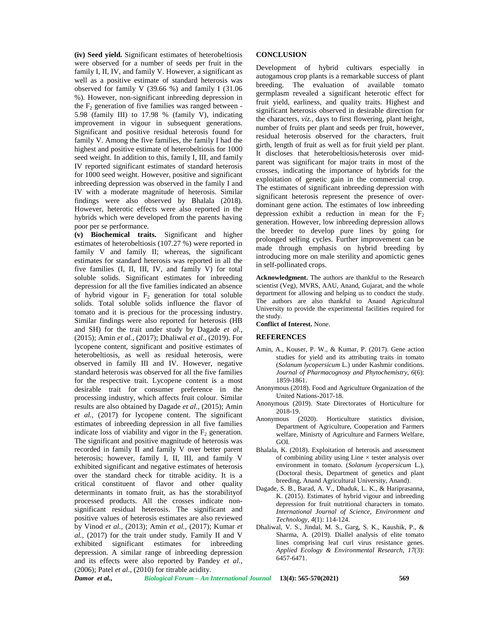**(iv) Seed yield.** Significant estimates of heterobeltiosis were observed for a number of seeds per fruit in the family I, II, IV, and family V. However, a significant as well as a positive estimate of standard heterosis was observed for family V (39.66 %) and family I (31.06 %). However, non-significant inbreeding depression in the  $F<sub>2</sub>$  generation of five families was ranged between -5.98 (family III) to 17.98 % (family V), indicating improvement in vigour in subsequent generations. Significant and positive residual heterosis found for family V. Among the five families, the family I had the highest and positive estimate of heterobeltiosis for 1000 seed weight. In addition to this, family I, III, and family IV reported significant estimates of standard heterosis for 1000 seed weight. However, positive and significant inbreeding depression was observed in the family I and IV with a moderate magnitude of heterosis. Similar findings were also observed by Bhalala (2018). However, heterotic effects were also reported in the hybrids which were developed from the parents having poor per se performance.

**(v) Biochemical traits.** Significant and higher estimates of heterobeltiosis (107.27 %) were reported in family V and family II; whereas, the significant estimates for standard heterosis was reported in all the five families (I, II, III, IV, and family V) for total soluble solids. Significant estimates for inbreeding depression for all the five families indicated an absence of hybrid vigour in  $F_2$  generation for total soluble solids. Total soluble solids influence the flavor of tomato and it is precious for the processing industry. Similar findings were also reported for heterosis (HB and SH) for the trait under study by Dagade *et al.,* (2015); Amin *et al.,* (2017); Dhaliwal *et al*., (2019). For lycopene content, significant and positive estimates of heterobeltiosis, as well as residual heterosis, were observed in family III and IV. However, negative standard heterosis was observed for all the five families for the respective trait. Lycopene content is a most desirable trait for consumer preference in the processing industry, which affects fruit colour. Similar results are also obtained by Dagade *et al.,* (2015); Amin *et al.,* (2017) for lycopene content. The significant estimates of inbreeding depression in all five families indicate loss of viability and vigor in the  $F<sub>2</sub>$  generation. The significant and positive magnitude of heterosis was recorded in family II and family V over better parent heterosis; however, family I, II, III, and family V exhibited significant and negative estimates of heterosis over the standard check for titrable acidity. It is a critical constituent of flavor and other quality determinants in tomato fruit, as has the storabilityof processed products. All the crosses indicate non significant residual heterosis. The significant and positive values of heterosis estimates are also reviewed by Vinod *et al.,* (2013); Amin *et al.,* (2017); Kumar *et al.,* (2017) for the trait under study. Family II and V exhibited significant estimates for inbreeding depression. A similar range of inbreeding depression and its effects were also reported by Pandey *et al.,* (2006); Patel *et al*., (2010) for titrable acidity.

#### **CONCLUSION**

Development of hybrid cultivars especially in autogamous crop plants is a remarkable success of plant breeding. The evaluation of available tomato germplasm revealed a significant heterotic effect for fruit yield, earliness, and quality traits. Highest and significant heterosis observed in desirable direction for the characters, *viz.*, days to first flowering, plant height, number of fruits per plant and seeds per fruit, however, residual heterosis observed for the characters, fruit girth, length of fruit as well as for fruit yield per plant. It discloses that heterobeltiosis/heterosis over mid parent was significant for major traits in most of the crosses, indicating the importance of hybrids for the exploitation of genetic gain in the commercial crop. The estimates of significant inbreeding depression with significant heterosis represent the presence of over dominant gene action. The estimates of low inbreeding depression exhibit a reduction in mean for the  $F_2$ generation. However, low inbreeding depression allows the breeder to develop pure lines by going for prolonged selfing cycles. Further improvement can be made through emphasis on hybrid breeding by introducing more on male sterility and apomictic genes in self-pollinated crops.

**Acknowledgment.** The authors are thankful to the Research scientist (Veg), MVRS, AAU, Anand, Gujarat, and the whole department for allowing and helping us to conduct the study. The authors are also thankful to Anand Agricultural University to provide the experimental facilities required for the study.

**Conflict of Interest.** None.

#### **REFERENCES**

- Amin, A., Kouser, P. W., & Kumar, P. (2017). Gene action studies for yield and its attributing traits in tomato (*Solanum lycopersicum* L.) under Kashmir conditions. *Journal of Pharmacognosy and Phytochemistry*, *6*(6): 1859-1861.
- Anonymous (2018). Food and Agriculture Organization of the United Nations-2017-18.
- Anonymous (2019). State Directorates of Horticulture for 2018-19.
- Anonymous (2020). Horticulture statistics division, Department of Agriculture, Cooperation and Farmers welfare, Minisrty of Agriculture and Farmers Welfare, GOI.
- Bhalala, K. (2018). Exploitation of heterosis and assessment of combining ability using  $Line \times$  tester analysis over environment in tomato. (*Solanum lycopersicum* L.), (Doctoral thesis, Department of genetics and plant breeding, Anand Agricultural University, Anand).
- Dagade, S. B., Barad, A. V., Dhaduk, L. K., & Hariprasanna, K. (2015). Estimates of hybrid vigour and inbreeding depression for fruit nutritional characters in tomato. *International Journal of Science, Environment and Technology, 4*(1): 114-124.
- Dhaliwal, V. S., Jindal, M. S., Garg, S. K., Kaushik, P., & Sharma, A. (2019). Diallel analysis of elite tomato lines comprising leaf curl virus resistance genes. *Applied Ecology & Environmental Research*, *17*(3): 6457-6471.

*Damor et al., Biological Forum – An International Journal* **13(4): 565-570(2021) 569**